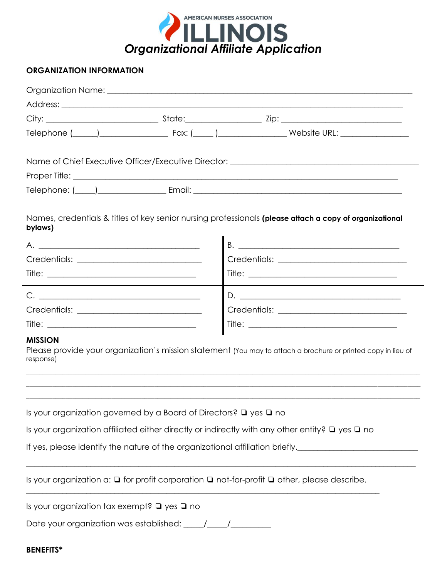

## **ORGANIZATION INFORMATION**

| bylaws)                                                                                                             |  | Names, credentials & titles of key senior nursing professionals (please attach a copy of organizational       |
|---------------------------------------------------------------------------------------------------------------------|--|---------------------------------------------------------------------------------------------------------------|
|                                                                                                                     |  |                                                                                                               |
|                                                                                                                     |  |                                                                                                               |
|                                                                                                                     |  |                                                                                                               |
|                                                                                                                     |  |                                                                                                               |
|                                                                                                                     |  |                                                                                                               |
|                                                                                                                     |  |                                                                                                               |
| <b>MISSION</b><br>response)                                                                                         |  | Please provide your organization's mission statement (You may to attach a brochure or printed copy in lieu of |
|                                                                                                                     |  |                                                                                                               |
| Is your organization governed by a Board of Directors? $\Box$ yes $\Box$ no                                         |  |                                                                                                               |
| Is your organization affiliated either directly or indirectly with any other entity? $\Box$ yes $\Box$ no           |  |                                                                                                               |
|                                                                                                                     |  | If yes, please identify the nature of the organizational affiliation briefly.                                 |
| Is your organization a: $\square$ for profit corporation $\square$ not-for-profit $\square$ other, please describe. |  |                                                                                                               |
| Is your organization tax exempt? $\Box$ yes $\Box$ no                                                               |  |                                                                                                               |
| Date your organization was established: \[\sqmaignand{case}}                                                        |  |                                                                                                               |
| . = = := ^ <u>*</u>                                                                                                 |  |                                                                                                               |

## **BENEFITS\***